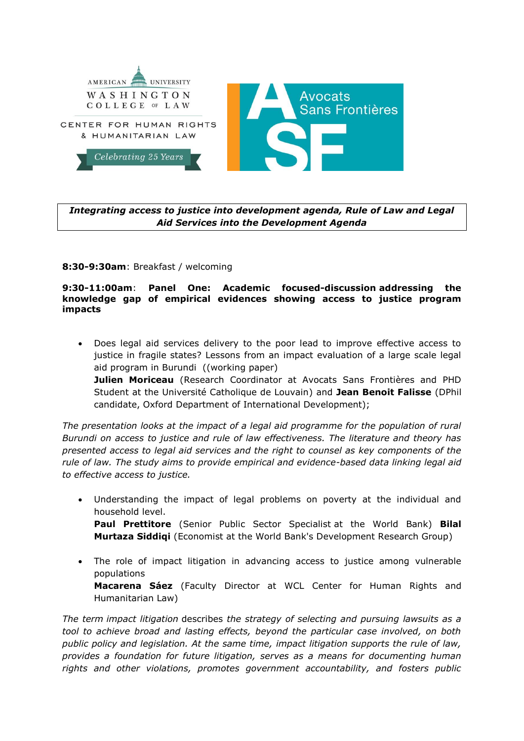

# *Integrating access to justice into development agenda, Rule of Law and Legal Aid Services into the Development Agenda*

## **8:30-9:30am**: Breakfast / welcoming

#### **9:30-11:00am**: **Panel One: Academic focused-discussion addressing the knowledge gap of empirical evidences showing access to justice program impacts**

 Does legal aid services delivery to the poor lead to improve effective access to justice in fragile states? Lessons from an impact evaluation of a large scale legal aid program in Burundi ((working paper)

**Julien Moriceau** (Research Coordinator at Avocats Sans Frontières and PHD Student at the Université Catholique de Louvain) and **Jean Benoit Falisse** (DPhil candidate, Oxford Department of International Development);

*The presentation looks at the impact of a legal aid programme for the population of rural Burundi on access to justice and rule of law effectiveness. The literature and theory has presented access to legal aid services and the right to counsel as key components of the rule of law. The study aims to provide empirical and evidence-based data linking legal aid to effective access to justice.*

- Understanding the impact of legal problems on poverty at the individual and household level. **Paul Prettitore** (Senior Public Sector Specialist at the World Bank) **Bilal Murtaza Siddiqi** (Economist at the World Bank's Development Research Group)
- The role of impact litigation in advancing access to justice among vulnerable populations **Macarena Sáez** (Faculty Director at WCL Center for Human Rights and Humanitarian Law)

*The term impact litigation* describes *the strategy of selecting and pursuing lawsuits as a tool to achieve broad and lasting effects, beyond the particular case involved, on both public policy and legislation. At the same time, impact litigation supports the rule of law, provides a foundation for future litigation, serves as a means for documenting human rights and other violations, promotes government accountability, and fosters public*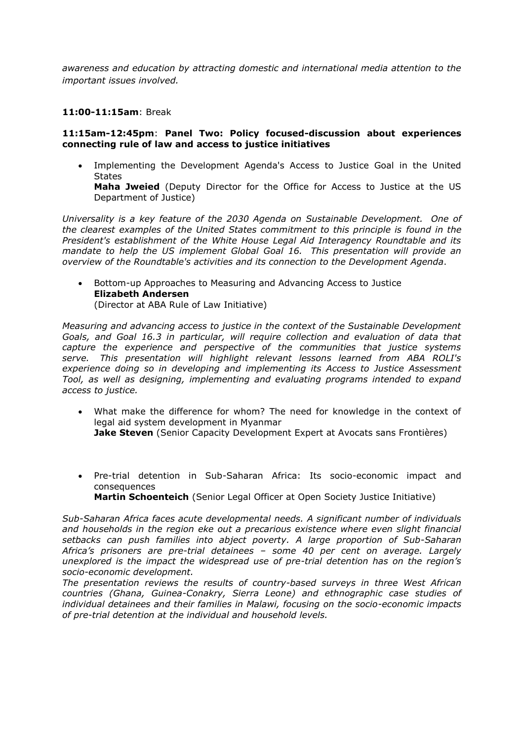*awareness and education by attracting domestic and international media attention to the important issues involved.*

## **11:00-11:15am**: Break

#### **11:15am-12:45pm**: **Panel Two: Policy focused-discussion about experiences connecting rule of law and access to justice initiatives**

 Implementing the Development Agenda's Access to Justice Goal in the United States

**Maha Jweied** (Deputy Director for the Office for Access to Justice at the US Department of Justice)

*Universality is a key feature of the 2030 Agenda on Sustainable Development. One of the clearest examples of the United States commitment to this principle is found in the President's establishment of the White House Legal Aid Interagency Roundtable and its mandate to help the US implement Global Goal 16. This presentation will provide an overview of the Roundtable's activities and its connection to the Development Agenda*.

 Bottom-up Approaches to Measuring and Advancing Access to Justice **Elizabeth Andersen** (Director at ABA Rule of Law Initiative)

*Measuring and advancing access to justice in the context of the Sustainable Development Goals, and Goal 16.3 in particular, will require collection and evaluation of data that capture the experience and perspective of the communities that justice systems serve. This presentation will highlight relevant lessons learned from ABA ROLI's experience doing so in developing and implementing its Access to Justice Assessment Tool, as well as designing, implementing and evaluating programs intended to expand access to justice.*

- What make the difference for whom? The need for knowledge in the context of legal aid system development in Myanmar **Jake Steven** (Senior Capacity Development Expert at Avocats sans Frontières)
- Pre-trial detention in Sub-Saharan Africa: Its socio-economic impact and consequences **Martin Schoenteich** (Senior Legal Officer at Open Society Justice Initiative)

*Sub-Saharan Africa faces acute developmental needs. A significant number of individuals and households in the region eke out a precarious existence where even slight financial setbacks can push families into abject poverty. A large proportion of Sub-Saharan Africa's prisoners are pre-trial detainees – some 40 per cent on average. Largely unexplored is the impact the widespread use of pre-trial detention has on the region's socio-economic development.*

*The presentation reviews the results of country-based surveys in three West African countries (Ghana, Guinea-Conakry, Sierra Leone) and ethnographic case studies of individual detainees and their families in Malawi, focusing on the socio-economic impacts of pre-trial detention at the individual and household levels.*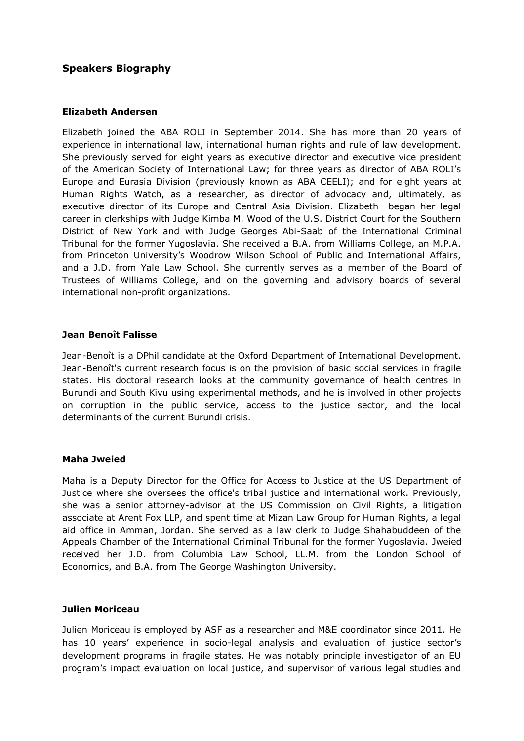# **Speakers Biography**

## **Elizabeth Andersen**

Elizabeth joined the ABA ROLI in September 2014. She has more than 20 years of experience in international law, international human rights and rule of law development. She previously served for eight years as executive director and executive vice president of the American Society of International Law; for three years as director of ABA ROLI's Europe and Eurasia Division (previously known as ABA CEELI); and for eight years at Human Rights Watch, as a researcher, as director of advocacy and, ultimately, as executive director of its Europe and Central Asia Division. Elizabeth began her legal career in clerkships with Judge Kimba M. Wood of the U.S. District Court for the Southern District of New York and with Judge Georges Abi-Saab of the International Criminal Tribunal for the former Yugoslavia. She received a B.A. from Williams College, an M.P.A. from Princeton University's Woodrow Wilson School of Public and International Affairs, and a J.D. from Yale Law School. She currently serves as a member of the Board of Trustees of Williams College, and on the governing and advisory boards of several international non-profit organizations.

## **Jean Benoît Falisse**

Jean-Benoît is a DPhil candidate at the Oxford Department of International Development. Jean-Benoît's current research focus is on the provision of basic social services in fragile states. His doctoral research looks at the community governance of health centres in Burundi and South Kivu using experimental methods, and he is involved in other projects on corruption in the public service, access to the justice sector, and the local determinants of the current Burundi crisis.

#### **Maha Jweied**

Maha is a Deputy Director for the Office for Access to Justice at the US Department of Justice where she oversees the office's tribal justice and international work. Previously, she was a senior attorney-advisor at the US Commission on Civil Rights, a litigation associate at Arent Fox LLP, and spent time at Mizan Law Group for Human Rights, a legal aid office in Amman, Jordan. She served as a law clerk to Judge Shahabuddeen of the Appeals Chamber of the International Criminal Tribunal for the former Yugoslavia. Jweied received her J.D. from Columbia Law School, LL.M. from the London School of Economics, and B.A. from The George Washington University.

#### **Julien Moriceau**

Julien Moriceau is employed by ASF as a researcher and M&E coordinator since 2011. He has 10 years' experience in socio-legal analysis and evaluation of justice sector's development programs in fragile states. He was notably principle investigator of an EU program's impact evaluation on local justice, and supervisor of various legal studies and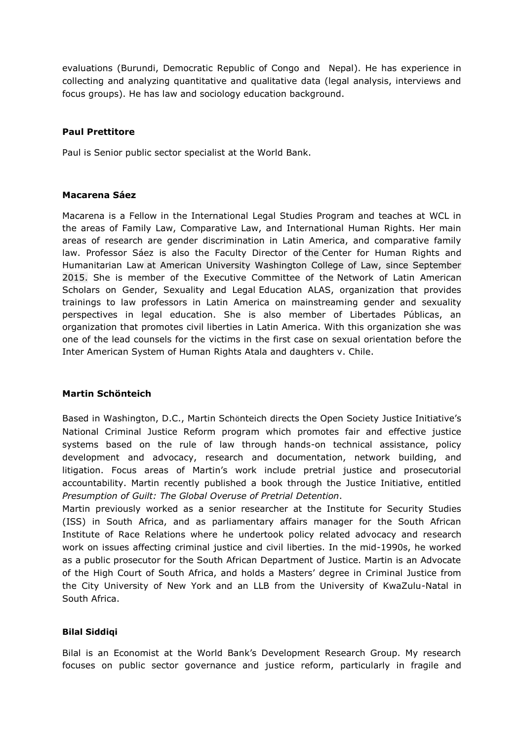evaluations (Burundi, Democratic Republic of Congo and Nepal). He has experience in collecting and analyzing quantitative and qualitative data (legal analysis, interviews and focus groups). He has law and sociology education background.

# **Paul Prettitore**

Paul is Senior public sector specialist at the World Bank.

# **Macarena Sáez**

Macarena is a Fellow in the International Legal Studies Program and teaches at WCL in the areas of Family Law, Comparative Law, and International Human Rights. Her main areas of research are gender discrimination in Latin America, and comparative family law. Professor Sáez is also the Faculty Director of the [Center for Human Rights and](https://www.wcl.american.edu/humright/center/)  [Humanitarian Law](https://www.wcl.american.edu/humright/center/) at American University Washington College of Law, since September 2015. She is member of the Executive Committee of the [Network of Latin American](http://www.redalas.net/)  [Scholars on Gender, Sexuality and Legal](http://www.redalas.net/) Education ALAS, organization that provides trainings to law professors in Latin America on mainstreaming gender and sexuality perspectives in legal education. She is also member of Libertades Públicas, an organization that promotes civil liberties in Latin America. With this organization she was one of the lead counsels for the victims in the first case on sexual orientation before the Inter American System of Human Rights [Atala and daughters v. Chile.](http://www.corteidh.or.cr/docs/casos/articulos/seriec_239_ing.pdf)

# **Martin Schönteich**

Based in Washington, D.C., Martin Schönteich directs the Open Society Justice Initiative's National Criminal Justice Reform program which promotes fair and effective justice systems based on the rule of law through hands-on technical assistance, policy development and advocacy, research and documentation, network building, and litigation. Focus areas of Martin's work include pretrial justice and prosecutorial accountability. Martin recently published a book through the Justice Initiative, entitled *Presumption of Guilt: The Global Overuse of Pretrial Detention*.

Martin previously worked as a senior researcher at the Institute for Security Studies (ISS) in South Africa, and as parliamentary affairs manager for the South African Institute of Race Relations where he undertook policy related advocacy and research work on issues affecting criminal justice and civil liberties. In the mid-1990s, he worked as a public prosecutor for the South African Department of Justice. Martin is an Advocate of the High Court of South Africa, and holds a Masters' degree in Criminal Justice from the City University of New York and an LLB from the University of KwaZulu-Natal in South Africa.

#### **Bilal Siddiqi**

Bilal is an Economist at the World Bank's Development Research Group. My research focuses on public sector governance and justice reform, particularly in fragile and